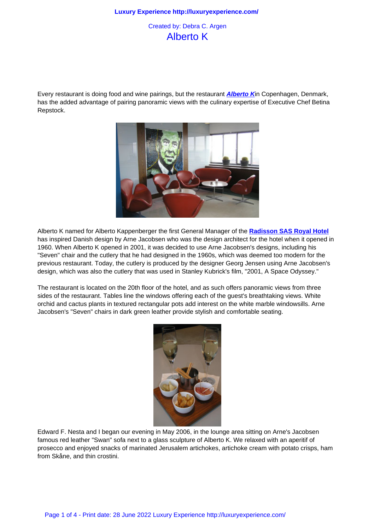## Alberto K

Every restaurant is doing food and wine pairings, but the restaurant **Alberto K**in Copenhagen, Denmark, has the added advantage of pairing panoramic views with the culinary expertise of Executive Chef Betina Repstock.



Alberto K named for Alberto Kappenberger the first General Manager of the **Radisson SAS Royal Hotel** has inspired Danish design by Arne Jacobsen who was the design architect for the hotel when it opened in 1960. When Alberto K opened in 2001, it was decided to use Arne Jacobsen's designs, including his "Seven" chair and the cutlery that he had designed in the 1960s, which was deemed too modern for the previous restaurant. Today, the cutlery is produced by the designer Georg J[ensen using Arne Jacobsen's](http://www.radissonsas.com/) design, which was also the cutlery that was used in Stanley Kubrick's film, "2001, A Space Odyssey."

The restaurant is located on the 20th floor of the hotel, and as such offers panoramic views from three sides of the restaurant. Tables line the windows offering each of the guest's breathtaking views. White orchid and cactus plants in textured rectangular pots add interest on the white marble windowsills. Arne Jacobsen's "Seven" chairs in dark green leather provide stylish and comfortable seating.



Edward F. Nesta and I began our evening in May 2006, in the lounge area sitting on Arne's Jacobsen famous red leather "Swan" sofa next to a glass sculpture of Alberto K. We relaxed with an aperitif of prosecco and enjoyed snacks of marinated Jerusalem artichokes, artichoke cream with potato crisps, ham from Skåne, and thin crostini.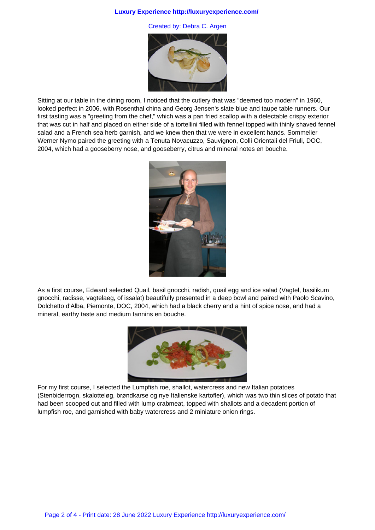## **Luxury Experience http://luxuryexperience.com/**

Created by: Debra C. Argen



Sitting at our table in the dining room, I noticed that the cutlery that was "deemed too modern" in 1960, looked perfect in 2006, with Rosenthal china and Georg Jensen's slate blue and taupe table runners. Our first tasting was a "greeting from the chef," which was a pan fried scallop with a delectable crispy exterior that was cut in half and placed on either side of a tortellini filled with fennel topped with thinly shaved fennel salad and a French sea herb garnish, and we knew then that we were in excellent hands. Sommelier Werner Nymo paired the greeting with a Tenuta Novacuzzo, Sauvignon, Colli Orientali del Friuli, DOC, 2004, which had a gooseberry nose, and gooseberry, citrus and mineral notes en bouche.



As a first course, Edward selected Quail, basil gnocchi, radish, quail egg and ice salad (Vagtel, basilikum gnocchi, radisse, vagtelaeg, of issalat) beautifully presented in a deep bowl and paired with Paolo Scavino, Dolchetto d'Alba, Piemonte, DOC, 2004, which had a black cherry and a hint of spice nose, and had a mineral, earthy taste and medium tannins en bouche.



For my first course, I selected the Lumpfish roe, shallot, watercress and new Italian potatoes (Stenbiderrogn, skalotteløg, brøndkarse og nye Italienske kartofler), which was two thin slices of potato that had been scooped out and filled with lump crabmeat, topped with shallots and a decadent portion of lumpfish roe, and garnished with baby watercress and 2 miniature onion rings.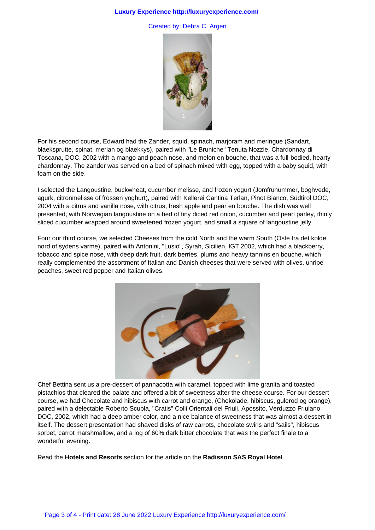## **Luxury Experience http://luxuryexperience.com/**

Created by: Debra C. Argen



For his second course, Edward had the Zander, squid, spinach, marjoram and meringue (Sandart, blaeksprutte, spinat, merian og blaekkys), paired with "Le Bruniche" Tenuta Nozzle, Chardonnay di Toscana, DOC, 2002 with a mango and peach nose, and melon en bouche, that was a full-bodied, hearty chardonnay. The zander was served on a bed of spinach mixed with egg, topped with a baby squid, with foam on the side.

I selected the Langoustine, buckwheat, cucumber melisse, and frozen yogurt (Jomfruhummer, boghvede, agurk, citronmelisse of frossen yoghurt), paired with Kellerei Cantina Terlan, Pinot Bianco, Südtirol DOC, 2004 with a citrus and vanilla nose, with citrus, fresh apple and pear en bouche. The dish was well presented, with Norwegian langoustine on a bed of tiny diced red onion, cucumber and pearl parley, thinly sliced cucumber wrapped around sweetened frozen yogurt, and small a square of langoustine jelly.

Four our third course, we selected Cheeses from the cold North and the warm South (Oste fra det kolde nord of sydens varme), paired with Antonini, "Lusio", Syrah, Sicilien, IGT 2002, which had a blackberry, tobacco and spice nose, with deep dark fruit, dark berries, plums and heavy tannins en bouche, which really complemented the assortment of Italian and Danish cheeses that were served with olives, unripe peaches, sweet red pepper and Italian olives.



Chef Bettina sent us a pre-dessert of pannacotta with caramel, topped with lime granita and toasted pistachios that cleared the palate and offered a bit of sweetness after the cheese course. For our dessert course, we had Chocolate and hibiscus with carrot and orange, (Chokolade, hibiscus, gulerod og orange), paired with a delectable Roberto Scubla, "Cratis" Colli Orientali del Friuli, Apossito, Verduzzo Friulano DOC, 2002, which had a deep amber color, and a nice balance of sweetness that was almost a dessert in itself. The dessert presentation had shaved disks of raw carrots, chocolate swirls and "sails", hibiscus sorbet, carrot marshmallow, and a log of 60% dark bitter chocolate that was the perfect finale to a wonderful evening.

Read the **Hotels and Resorts** section for the article on the **Radisson SAS Royal Hotel**.